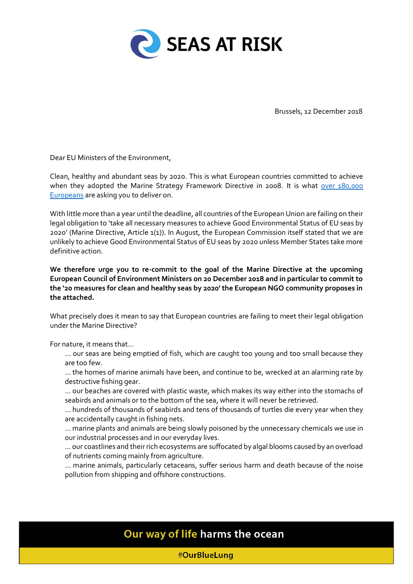

Brussels, 12 December 2018

Dear EU Ministers of the Environment,

Clean, healthy and abundant seas by 2020. This is what European countries committed to achieve when they adopted the Marine Strategy Framework Directive in 2008. It is what over 180,000 Europeans are asking you to deliver on.

With little more than a year until the deadline, all countries of the European Union are failing on their legal obligation to 'take all necessary measures to achieve Good Environmental Status of EU seas by 2020' (Marine Directive, Article 1(1)). In August, the European Commission itself stated that we are unlikely to achieve Good Environmental Status of EU seas by 2020 unless Member States take more definitive action.

**We therefore urge you to re-commit to the goal of the Marine Directive at the upcoming European Council of Environment Ministers on 20 December 2018 and in particular to commit to the '20 measures for clean and healthy seas by 2020' the European NGO community proposes in the attached.**

What precisely does it mean to say that European countries are failing to meet their legal obligation under the Marine Directive?

For nature, it means that…

… our seas are being emptied of fish, which are caught too young and too small because they are too few.

… the homes of marine animals have been, and continue to be, wrecked at an alarming rate by destructive fishing gear.

… our beaches are covered with plastic waste, which makes its way either into the stomachs of seabirds and animals or to the bottom of the sea, where it will never be retrieved.

… hundreds of thousands of seabirds and tens of thousands of turtles die every year when they are accidentally caught in fishing nets.

… marine plants and animals are being slowly poisoned by the unnecessary chemicals we use in our industrial processes and in our everyday lives.

… our coastlines and their rich ecosystems are suffocated by algal blooms caused by an overload of nutrients coming mainly from agriculture.

… marine animals, particularly cetaceans, suffer serious harm and death because of the noise pollution from shipping and offshore constructions.

## Our way of life harms the ocean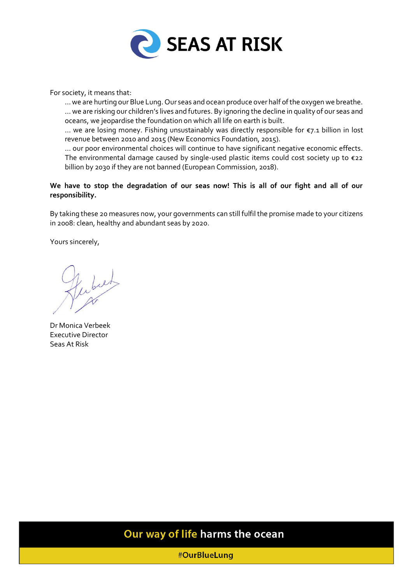

For society, it means that:

… we are hurting our Blue Lung. Our seas and ocean produce over half of the oxygen we breathe. … we are risking our children's lives and futures. By ignoring the decline in quality of our seas and oceans, we jeopardise the foundation on which all life on earth is built.

… we are losing money. Fishing unsustainably was directly responsible for €7.1 billion in lost revenue between 2010 and 2015 (New Economics Foundation, 2015).

… our poor environmental choices will continue to have significant negative economic effects. The environmental damage caused by single-used plastic items could cost society up to €22 billion by 2030 if they are not banned (European Commission, 2018).

**We have to stop the degradation of our seas now! This is all of our fight and all of our responsibility.**

By taking these 20 measures now, your governments can still fulfil the promise made to your citizens in 2008: clean, healthy and abundant seas by 2020.

Yours sincerely,

fubier

Dr Monica Verbeek Executive Director Seas At Risk

### Our way of life harms the ocean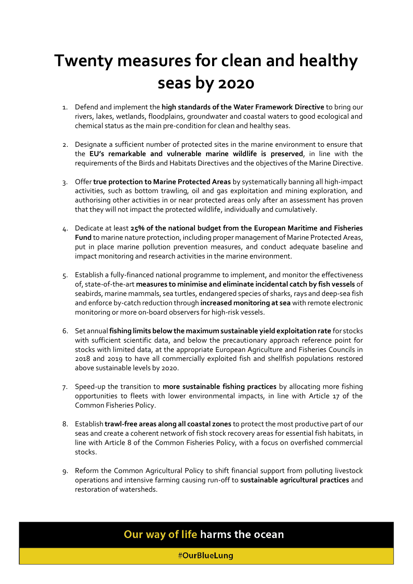# **Twenty measures for clean and healthy seas by 2020**

- 1. Defend and implement the **high standards of the Water Framework Directive** to bring our rivers, lakes, wetlands, floodplains, groundwater and coastal waters to good ecological and chemical status as the main pre-condition for clean and healthy seas.
- 2. Designate a sufficient number of protected sites in the marine environment to ensure that the **EU's remarkable and vulnerable marine wildlife is preserved**, in line with the requirements of the Birds and Habitats Directives and the objectives of the Marine Directive.
- 3. Offer **true protection to Marine Protected Areas** by systematically banning all high-impact activities, such as bottom trawling, oil and gas exploitation and mining exploration, and authorising other activities in or near protected areas only after an assessment has proven that they will not impact the protected wildlife, individually and cumulatively.
- 4. Dedicate at least **25% of the national budget from the European Maritime and Fisheries Fund** to marine nature protection, including proper management of Marine Protected Areas, put in place marine pollution prevention measures, and conduct adequate baseline and impact monitoring and research activities in the marine environment.
- 5. Establish a fully-financed national programme to implement, and monitor the effectiveness of, state-of-the-art **measures to minimise and eliminate incidental catch by fish vessels** of seabirds, marine mammals, sea turtles, endangered species of sharks, rays and deep-sea fish and enforce by-catch reduction through **increased monitoring at sea** with remote electronic monitoring or more on-board observers for high-risk vessels.
- 6. Set annual **fishing limits below the maximum sustainable yield exploitation rate** for stocks with sufficient scientific data, and below the precautionary approach reference point for stocks with limited data, at the appropriate European Agriculture and Fisheries Councils in 2018 and 2019 to have all commercially exploited fish and shellfish populations restored above sustainable levels by 2020.
- 7. Speed-up the transition to **more sustainable fishing practices** by allocating more fishing opportunities to fleets with lower environmental impacts, in line with Article 17 of the Common Fisheries Policy.
- 8. Establish **trawl-free areas along all coastal zones** to protect the most productive part of our seas and create a coherent network of fish stock recovery areas for essential fish habitats, in line with Article 8 of the Common Fisheries Policy, with a focus on overfished commercial stocks.
- 9. Reform the Common Agricultural Policy to shift financial support from polluting livestock operations and intensive farming causing run-off to **sustainable agricultural practices** and restoration of watersheds.

## Our way of life harms the ocean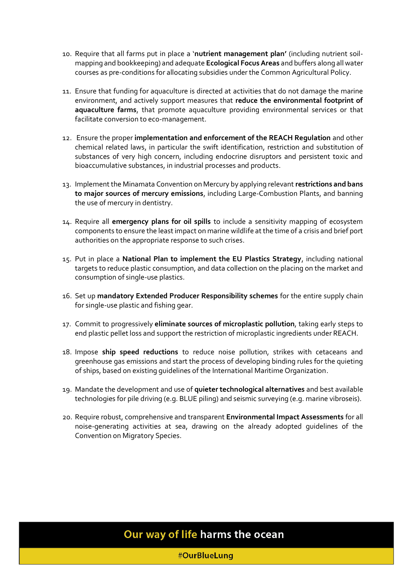- 10. Require that all farms put in place a '**nutrient management plan'** (including nutrient soilmapping and bookkeeping) and adequate **Ecological Focus Areas** and buffers along all water courses as pre-conditions for allocating subsidies under the Common Agricultural Policy.
- 11. Ensure that funding for aquaculture is directed at activities that do not damage the marine environment, and actively support measures that **reduce the environmental footprint of aquaculture farms**, that promote aquaculture providing environmental services or that facilitate conversion to eco-management.
- 12. Ensure the proper **implementation and enforcement of the REACH Regulation** and other chemical related laws, in particular the swift identification, restriction and substitution of substances of very high concern, including endocrine disruptors and persistent toxic and bioaccumulative substances, in industrial processes and products.
- 13. Implement the Minamata Convention on Mercury by applying relevant **restrictions and bans to major sources of mercury emissions**, including Large-Combustion Plants, and banning the use of mercury in dentistry.
- 14. Require all **emergency plans for oil spills** to include a sensitivity mapping of ecosystem components to ensure the least impact on marine wildlife at the time of a crisis and brief port authorities on the appropriate response to such crises.
- 15. Put in place a **National Plan to implement the EU Plastics Strategy**, including national targets to reduce plastic consumption, and data collection on the placing on the market and consumption of single-use plastics.
- 16. Set up **mandatory Extended Producer Responsibility schemes** for the entire supply chain for single-use plastic and fishing gear.
- 17. Commit to progressively **eliminate sources of microplastic pollution**, taking early steps to end plastic pellet loss and support the restriction of microplastic ingredients under REACH.
- 18. Impose **ship speed reductions** to reduce noise pollution, strikes with cetaceans and greenhouse gas emissions and start the process of developing binding rules for the quieting of ships, based on existing guidelines of the International Maritime Organization.
- 19. Mandate the development and use of **quieter technological alternatives** and best available technologies for pile driving (e.g. BLUE piling) and seismic surveying (e.g. marine vibroseis).
- 20. Require robust, comprehensive and transparent **Environmental Impact Assessments** for all noise-generating activities at sea, drawing on the already adopted guidelines of the Convention on Migratory Species.

### Our way of life harms the ocean